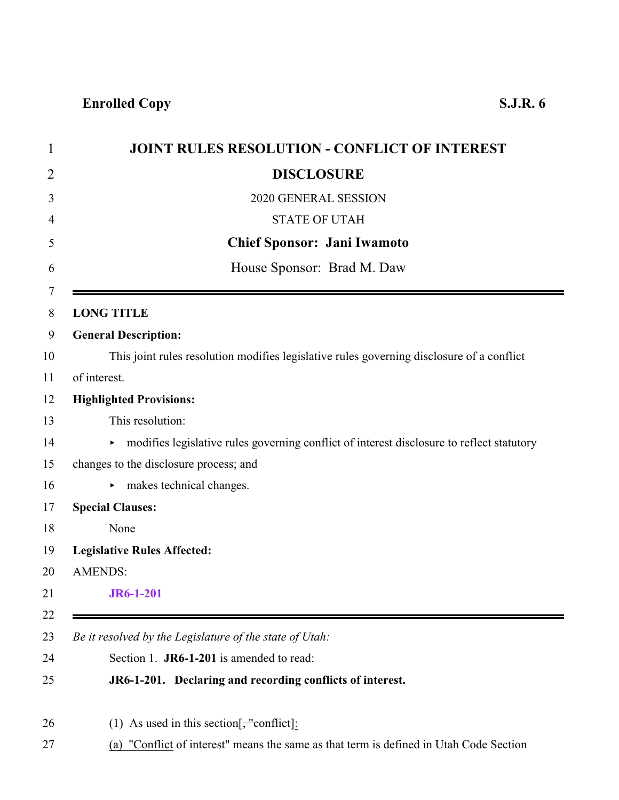<span id="page-0-0"></span>

| <b>JOINT RULES RESOLUTION - CONFLICT OF INTEREST</b>                                        |
|---------------------------------------------------------------------------------------------|
| <b>DISCLOSURE</b>                                                                           |
| 2020 GENERAL SESSION                                                                        |
| <b>STATE OF UTAH</b>                                                                        |
| <b>Chief Sponsor: Jani Iwamoto</b>                                                          |
| House Sponsor: Brad M. Daw                                                                  |
|                                                                                             |
| <b>LONG TITLE</b>                                                                           |
| <b>General Description:</b>                                                                 |
| This joint rules resolution modifies legislative rules governing disclosure of a conflict   |
| of interest.                                                                                |
| <b>Highlighted Provisions:</b>                                                              |
| This resolution:                                                                            |
| • modifies legislative rules governing conflict of interest disclosure to reflect statutory |
| changes to the disclosure process; and                                                      |
| $\triangleright$ makes technical changes.                                                   |
| <b>Special Clauses:</b>                                                                     |
| None                                                                                        |
| <b>Legislative Rules Affected:</b>                                                          |
| <b>AMENDS:</b>                                                                              |
| JR6-1-201                                                                                   |
| Be it resolved by the Legislature of the state of Utah:                                     |
| Section 1. JR6-1-201 is amended to read:                                                    |
| JR6-1-201. Declaring and recording conflicts of interest.                                   |
|                                                                                             |
| (1) As used in this section $\frac{1}{2}$ conflict :                                        |
| (a) "Conflict of interest" means the same as that term is defined in Utah Code Section      |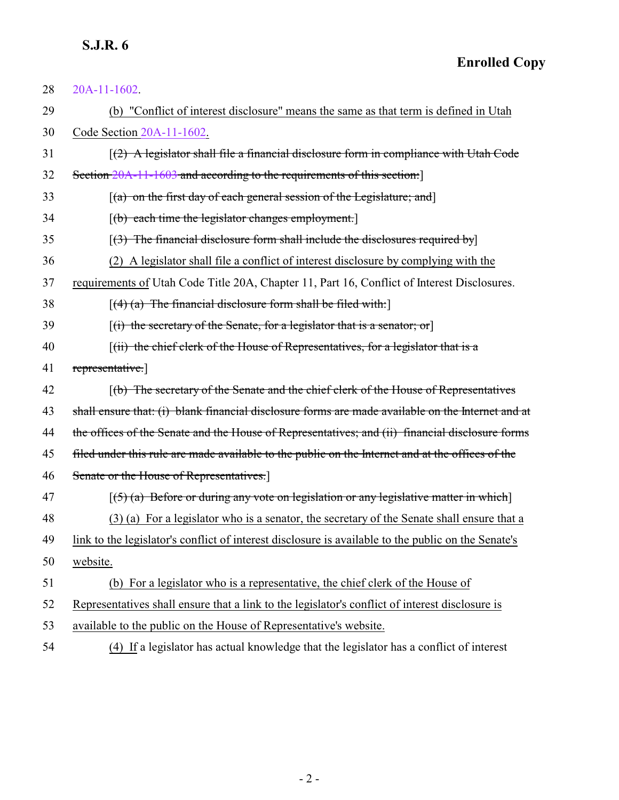## **S.J.R. 6**

| 28 | 20A-11-1602.                                                                                        |
|----|-----------------------------------------------------------------------------------------------------|
| 29 | (b) "Conflict of interest disclosure" means the same as that term is defined in Utah                |
| 30 | Code Section 20A-11-1602.                                                                           |
| 31 | $(2)$ A legislator shall file a financial disclosure form in compliance with Utah Code              |
| 32 | Section 20A-11-1603 and according to the requirements of this section:                              |
| 33 | $(a)$ on the first day of each general session of the Legislature; and                              |
| 34 | $[(b)$ each time the legislator changes employment.                                                 |
| 35 | $(3)$ The financial disclosure form shall include the disclosures required by                       |
| 36 | (2) A legislator shall file a conflict of interest disclosure by complying with the                 |
| 37 | requirements of Utah Code Title 20A, Chapter 11, Part 16, Conflict of Interest Disclosures.         |
| 38 | $[(4)$ (a) The financial disclosure form shall be filed with:                                       |
| 39 | $[(i)$ the secretary of the Senate, for a legislator that is a senator; or                          |
| 40 | $(iii)$ the chief clerk of the House of Representatives, for a legislator that is a                 |
| 41 | representative.                                                                                     |
| 42 | (b) The secretary of the Senate and the chief clerk of the House of Representatives                 |
| 43 | shall ensure that: (i) blank financial disclosure forms are made available on the Internet and at   |
| 44 | the offices of the Senate and the House of Representatives; and (ii) financial disclosure forms     |
| 45 | filed under this rule are made available to the public on the Internet and at the offices of the    |
| 46 | Senate or the House of Representatives.]                                                            |
| 47 | $(5)$ (a) Before or during any vote on legislation or any legislative matter in which               |
| 48 | (3) (a) For a legislator who is a senator, the secretary of the Senate shall ensure that a          |
| 49 | link to the legislator's conflict of interest disclosure is available to the public on the Senate's |
| 50 | website.                                                                                            |
| 51 | (b) For a legislator who is a representative, the chief clerk of the House of                       |
| 52 | Representatives shall ensure that a link to the legislator's conflict of interest disclosure is     |
| 53 | available to the public on the House of Representative's website.                                   |
| 54 | (4) If a legislator has actual knowledge that the legislator has a conflict of interest             |